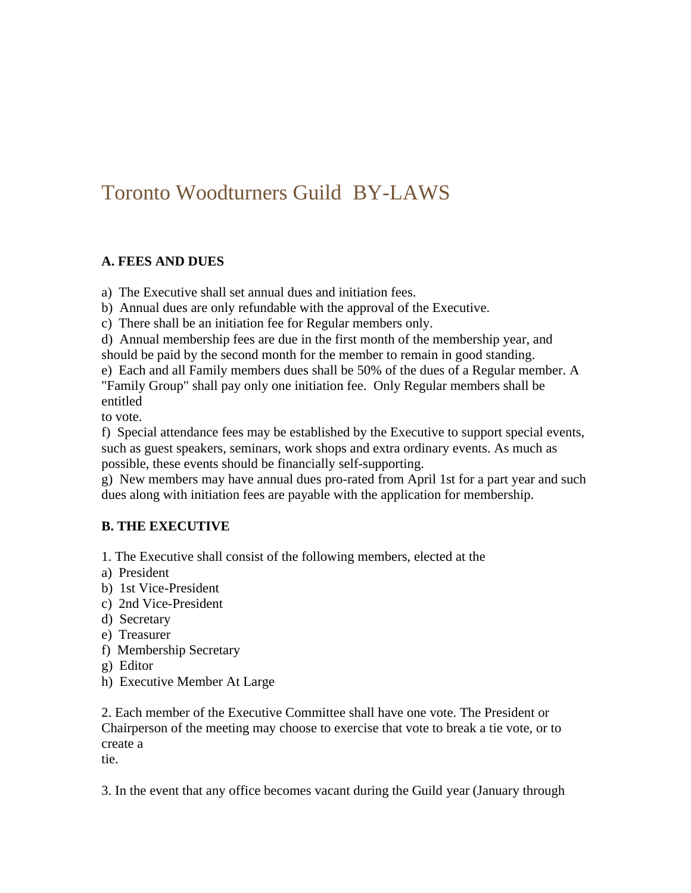# Toronto Woodturners Guild BY-LAWS

#### **A. FEES AND DUES**

a) The Executive shall set annual dues and initiation fees.

b) Annual dues are only refundable with the approval of the Executive.

c) There shall be an initiation fee for Regular members only.

d) Annual membership fees are due in the first month of the membership year, and should be paid by the second month for the member to remain in good standing.

e) Each and all Family members dues shall be 50% of the dues of a Regular member. A "Family Group" shall pay only one initiation fee. Only Regular members shall be entitled

to vote.

f) Special attendance fees may be established by the Executive to support special events, such as guest speakers, seminars, work shops and extra ordinary events. As much as possible, these events should be financially self-supporting.

g) New members may have annual dues pro-rated from April 1st for a part year and such dues along with initiation fees are payable with the application for membership.

#### **B. THE EXECUTIVE**

- 1. The Executive shall consist of the following members, elected at the
- a) President
- b) 1st Vice-President
- c) 2nd Vice-President
- d) Secretary
- e) Treasurer
- f) Membership Secretary
- g) Editor
- h) Executive Member At Large

2. Each member of the Executive Committee shall have one vote. The President or Chairperson of the meeting may choose to exercise that vote to break a tie vote, or to create a tie.

3. In the event that any office becomes vacant during the Guild year (January through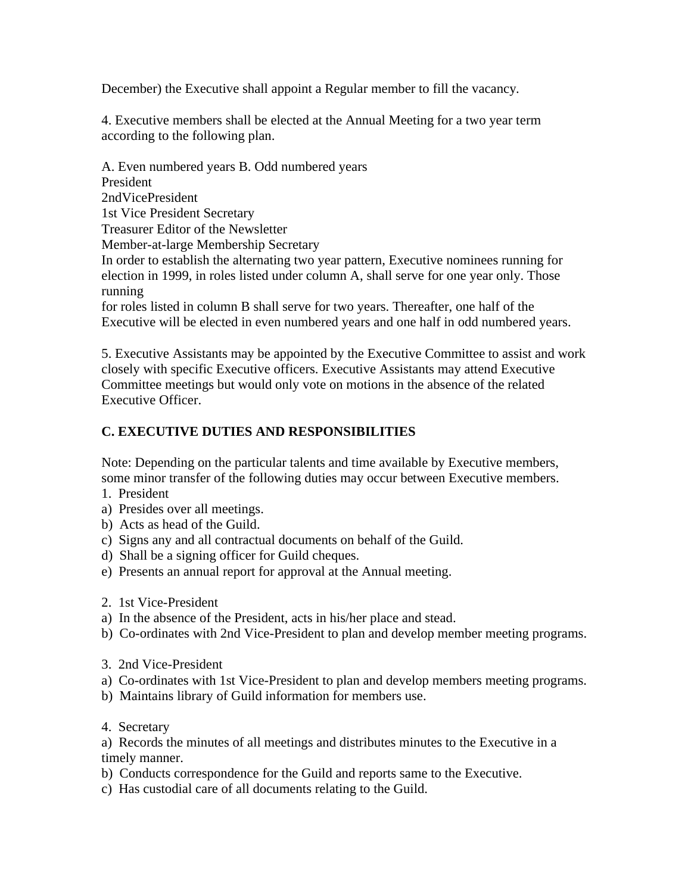December) the Executive shall appoint a Regular member to fill the vacancy.

4. Executive members shall be elected at the Annual Meeting for a two year term according to the following plan.

A. Even numbered years B. Odd numbered years President 2ndVicePresident 1st Vice President Secretary Treasurer Editor of the Newsletter Member-at-large Membership Secretary In order to establish the alternating two year pattern, Executive nominees running for election in 1999, in roles listed under column A, shall serve for one year only. Those running for roles listed in column B shall serve for two years. Thereafter, one half of the Executive will be elected in even numbered years and one half in odd numbered years.

5. Executive Assistants may be appointed by the Executive Committee to assist and work closely with specific Executive officers. Executive Assistants may attend Executive Committee meetings but would only vote on motions in the absence of the related Executive Officer.

#### **C. EXECUTIVE DUTIES AND RESPONSIBILITIES**

Note: Depending on the particular talents and time available by Executive members, some minor transfer of the following duties may occur between Executive members.

- 1. President
- a) Presides over all meetings.
- b) Acts as head of the Guild.
- c) Signs any and all contractual documents on behalf of the Guild.
- d) Shall be a signing officer for Guild cheques.
- e) Presents an annual report for approval at the Annual meeting.
- 2. 1st Vice-President
- a) In the absence of the President, acts in his/her place and stead.
- b) Co-ordinates with 2nd Vice-President to plan and develop member meeting programs.
- 3. 2nd Vice-President
- a) Co-ordinates with 1st Vice-President to plan and develop members meeting programs.
- b) Maintains library of Guild information for members use.
- 4. Secretary

a) Records the minutes of all meetings and distributes minutes to the Executive in a timely manner.

- b) Conducts correspondence for the Guild and reports same to the Executive.
- c) Has custodial care of all documents relating to the Guild.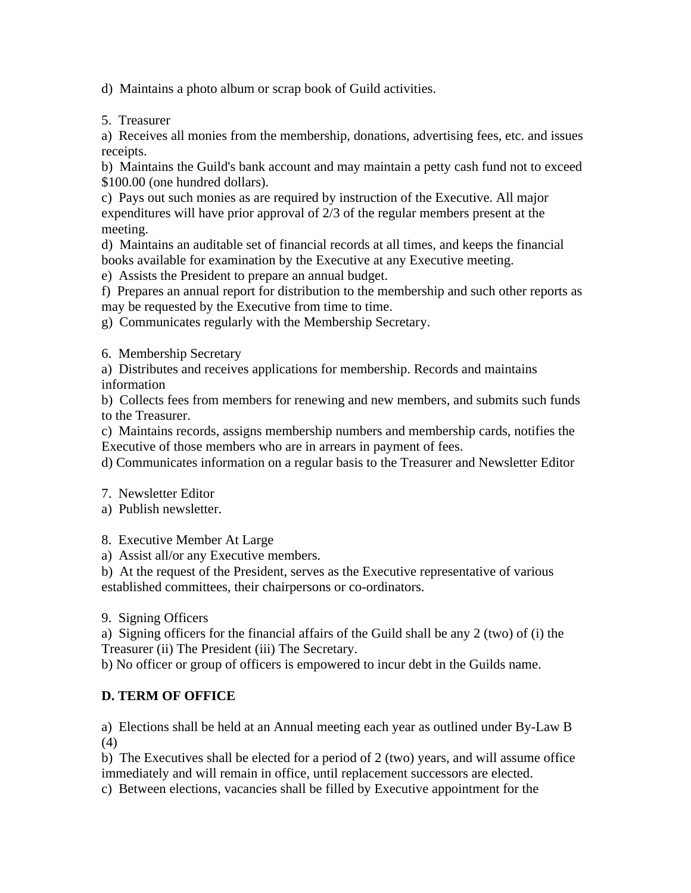d) Maintains a photo album or scrap book of Guild activities.

5. Treasurer

a) Receives all monies from the membership, donations, advertising fees, etc. and issues receipts.

b) Maintains the Guild's bank account and may maintain a petty cash fund not to exceed \$100.00 (one hundred dollars).

c) Pays out such monies as are required by instruction of the Executive. All major expenditures will have prior approval of 2/3 of the regular members present at the meeting.

d) Maintains an auditable set of financial records at all times, and keeps the financial books available for examination by the Executive at any Executive meeting.

e) Assists the President to prepare an annual budget.

f) Prepares an annual report for distribution to the membership and such other reports as may be requested by the Executive from time to time.

g) Communicates regularly with the Membership Secretary.

6. Membership Secretary

a) Distributes and receives applications for membership. Records and maintains information

b) Collects fees from members for renewing and new members, and submits such funds to the Treasurer.

c) Maintains records, assigns membership numbers and membership cards, notifies the Executive of those members who are in arrears in payment of fees.

d) Communicates information on a regular basis to the Treasurer and Newsletter Editor

7. Newsletter Editor

a) Publish newsletter.

8. Executive Member At Large

a) Assist all/or any Executive members.

b) At the request of the President, serves as the Executive representative of various established committees, their chairpersons or co-ordinators.

9. Signing Officers

a) Signing officers for the financial affairs of the Guild shall be any 2 (two) of (i) the Treasurer (ii) The President (iii) The Secretary.

b) No officer or group of officers is empowered to incur debt in the Guilds name.

#### **D. TERM OF OFFICE**

a) Elections shall be held at an Annual meeting each year as outlined under By-Law B (4)

b) The Executives shall be elected for a period of 2 (two) years, and will assume office immediately and will remain in office, until replacement successors are elected.

c) Between elections, vacancies shall be filled by Executive appointment for the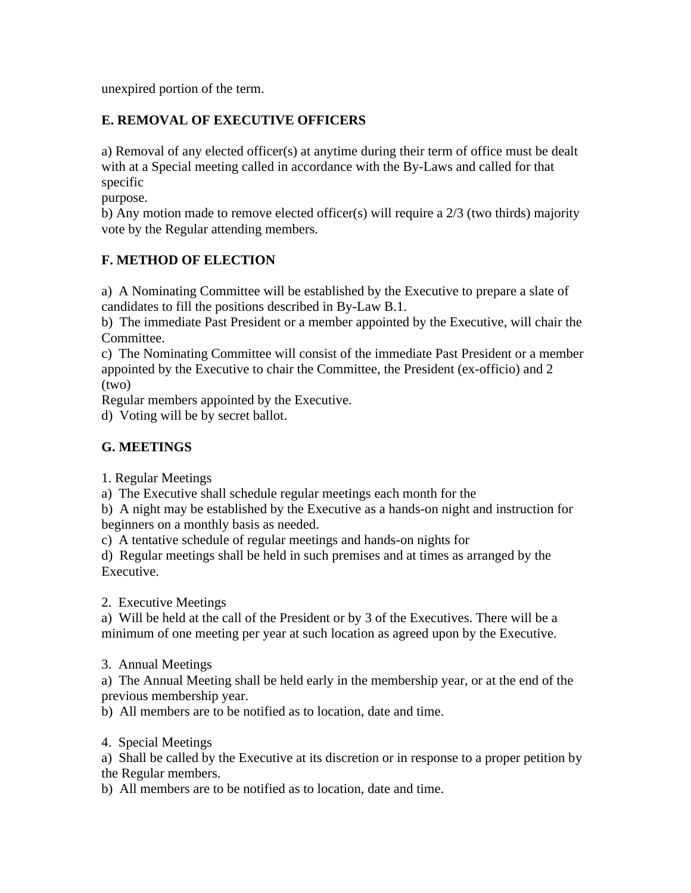unexpired portion of the term.

## **E. REMOVAL OF EXECUTIVE OFFICERS**

a) Removal of any elected officer(s) at anytime during their term of office must be dealt with at a Special meeting called in accordance with the By-Laws and called for that specific

purpose.

b) Any motion made to remove elected officer(s) will require a  $2/3$  (two thirds) majority vote by the Regular attending members.

## **F. METHOD OF ELECTION**

a) A Nominating Committee will be established by the Executive to prepare a slate of candidates to fill the positions described in By-Law B.1.

b) The immediate Past President or a member appointed by the Executive, will chair the Committee.

c) The Nominating Committee will consist of the immediate Past President or a member appointed by the Executive to chair the Committee, the President (ex-officio) and 2 (two)

Regular members appointed by the Executive.

d) Voting will be by secret ballot.

## **G. MEETINGS**

1. Regular Meetings

a) The Executive shall schedule regular meetings each month for the

b) A night may be established by the Executive as a hands-on night and instruction for beginners on a monthly basis as needed.

c) A tentative schedule of regular meetings and hands-on nights for

d) Regular meetings shall be held in such premises and at times as arranged by the Executive.

2. Executive Meetings

a) Will be held at the call of the President or by 3 of the Executives. There will be a minimum of one meeting per year at such location as agreed upon by the Executive.

3. Annual Meetings

a) The Annual Meeting shall be held early in the membership year, or at the end of the previous membership year.

b) All members are to be notified as to location, date and time.

4. Special Meetings

a) Shall be called by the Executive at its discretion or in response to a proper petition by the Regular members.

b) All members are to be notified as to location, date and time.